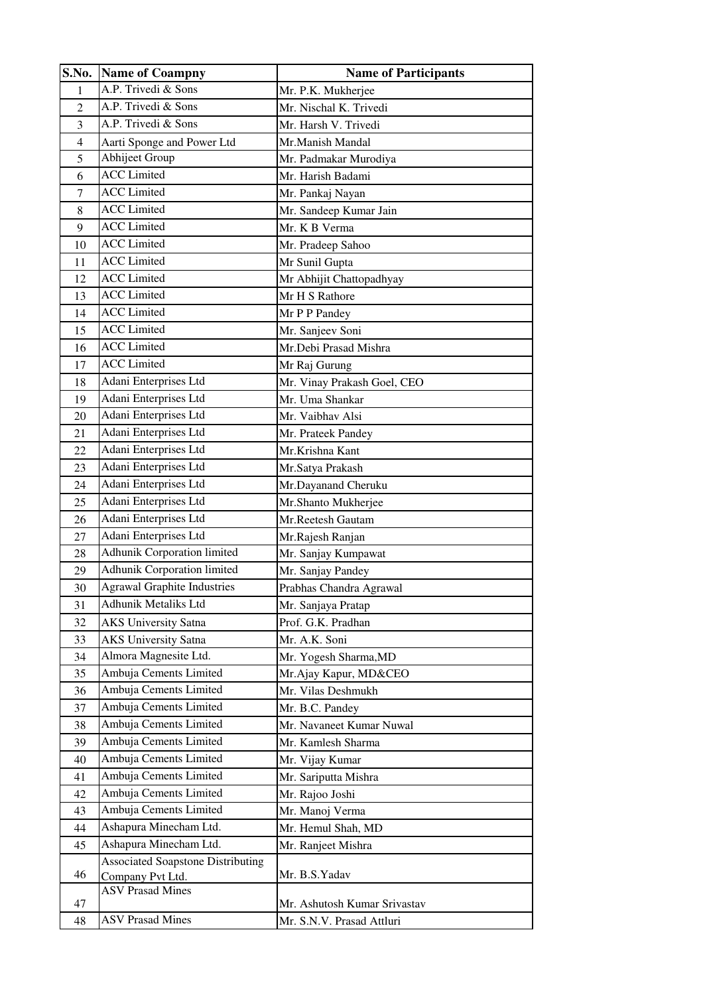| S.No.          | <b>Name of Coampny</b>                   | <b>Name of Participants</b>  |  |  |
|----------------|------------------------------------------|------------------------------|--|--|
| 1              | A.P. Trivedi & Sons                      | Mr. P.K. Mukherjee           |  |  |
| $\overline{2}$ | A.P. Trivedi & Sons                      | Mr. Nischal K. Trivedi       |  |  |
| 3              | A.P. Trivedi & Sons                      | Mr. Harsh V. Trivedi         |  |  |
| $\overline{4}$ | Aarti Sponge and Power Ltd               | Mr.Manish Mandal             |  |  |
| 5              | Abhijeet Group                           | Mr. Padmakar Murodiya        |  |  |
| 6              | <b>ACC</b> Limited                       | Mr. Harish Badami            |  |  |
| 7              | <b>ACC</b> Limited                       | Mr. Pankaj Nayan             |  |  |
| 8              | <b>ACC</b> Limited                       | Mr. Sandeep Kumar Jain       |  |  |
| 9              | <b>ACC</b> Limited                       | Mr. K B Verma                |  |  |
| 10             | <b>ACC</b> Limited                       | Mr. Pradeep Sahoo            |  |  |
| 11             | <b>ACC</b> Limited                       | Mr Sunil Gupta               |  |  |
| 12             | <b>ACC</b> Limited                       | Mr Abhijit Chattopadhyay     |  |  |
| 13             | <b>ACC</b> Limited                       | Mr H S Rathore               |  |  |
| 14             | <b>ACC</b> Limited                       | Mr P P Pandey                |  |  |
| 15             | <b>ACC</b> Limited                       | Mr. Sanjeev Soni             |  |  |
| 16             | <b>ACC</b> Limited                       | Mr.Debi Prasad Mishra        |  |  |
| 17             | <b>ACC</b> Limited                       | Mr Raj Gurung                |  |  |
| 18             | Adani Enterprises Ltd                    | Mr. Vinay Prakash Goel, CEO  |  |  |
| 19             | Adani Enterprises Ltd                    | Mr. Uma Shankar              |  |  |
| 20             | Adani Enterprises Ltd                    | Mr. Vaibhav Alsi             |  |  |
| 21             | Adani Enterprises Ltd                    | Mr. Prateek Pandey           |  |  |
| 22             | Adani Enterprises Ltd                    | Mr.Krishna Kant              |  |  |
| 23             | Adani Enterprises Ltd                    | Mr.Satya Prakash             |  |  |
| 24             | Adani Enterprises Ltd                    | Mr.Dayanand Cheruku          |  |  |
| 25             | Adani Enterprises Ltd                    | Mr.Shanto Mukherjee          |  |  |
| 26             | Adani Enterprises Ltd                    | Mr.Reetesh Gautam            |  |  |
| 27             | Adani Enterprises Ltd                    | Mr.Rajesh Ranjan             |  |  |
| 28             | Adhunik Corporation limited              | Mr. Sanjay Kumpawat          |  |  |
| 29             | Adhunik Corporation limited              | Mr. Sanjay Pandey            |  |  |
| 30             | <b>Agrawal Graphite Industries</b>       | Prabhas Chandra Agrawal      |  |  |
| 31             | Adhunik Metaliks Ltd                     | Mr. Sanjaya Pratap           |  |  |
| 32             | <b>AKS University Satna</b>              | Prof. G.K. Pradhan           |  |  |
| 33             | <b>AKS University Satna</b>              | Mr. A.K. Soni                |  |  |
| 34             | Almora Magnesite Ltd.                    | Mr. Yogesh Sharma, MD        |  |  |
| 35             | Ambuja Cements Limited                   | Mr. Ajay Kapur, MD&CEO       |  |  |
| 36             | Ambuja Cements Limited                   | Mr. Vilas Deshmukh           |  |  |
| 37             | Ambuja Cements Limited                   | Mr. B.C. Pandey              |  |  |
| 38             | Ambuja Cements Limited                   | Mr. Navaneet Kumar Nuwal     |  |  |
| 39             | Ambuja Cements Limited                   | Mr. Kamlesh Sharma           |  |  |
| 40             | Ambuja Cements Limited                   | Mr. Vijay Kumar              |  |  |
| 41             | Ambuja Cements Limited                   | Mr. Sariputta Mishra         |  |  |
| 42             | Ambuja Cements Limited                   | Mr. Rajoo Joshi              |  |  |
| 43             | Ambuja Cements Limited                   | Mr. Manoj Verma              |  |  |
| 44             | Ashapura Minecham Ltd.                   | Mr. Hemul Shah, MD           |  |  |
| 45             | Ashapura Minecham Ltd.                   | Mr. Ranjeet Mishra           |  |  |
|                | <b>Associated Soapstone Distributing</b> |                              |  |  |
| 46             | Company Pvt Ltd.                         | Mr. B.S.Yadav                |  |  |
|                | <b>ASV Prasad Mines</b>                  |                              |  |  |
| 47             |                                          | Mr. Ashutosh Kumar Srivastav |  |  |
| 48             | <b>ASV Prasad Mines</b>                  | Mr. S.N.V. Prasad Attluri    |  |  |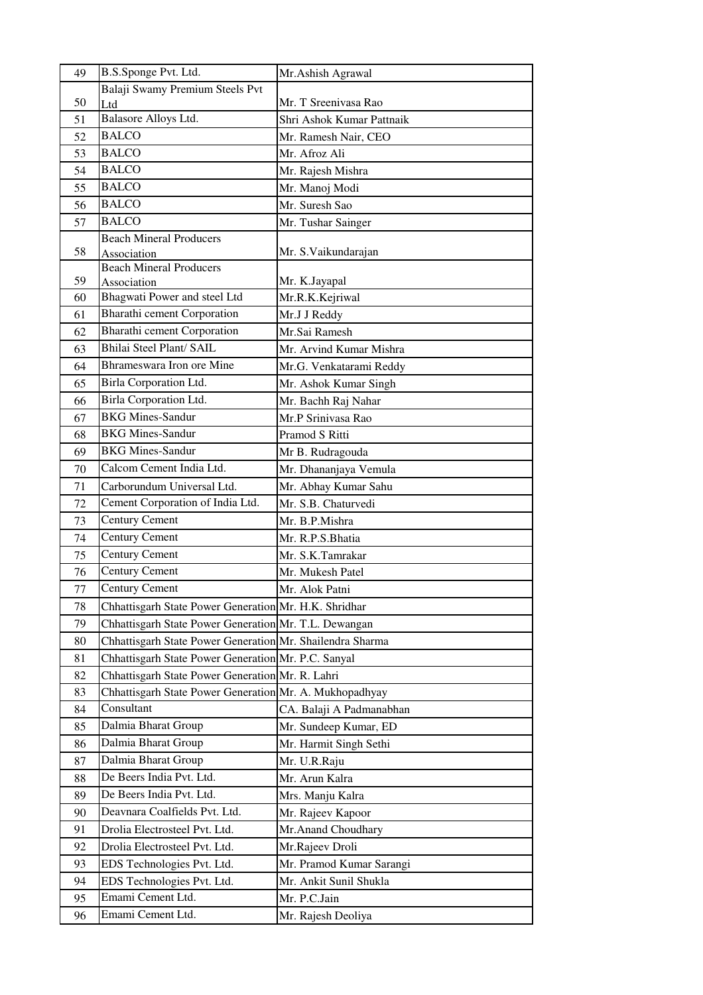| 49 | B.S.Sponge Pvt. Ltd.                                      | Mr. Ashish Agrawal        |  |  |
|----|-----------------------------------------------------------|---------------------------|--|--|
|    | Balaji Swamy Premium Steels Pvt                           |                           |  |  |
| 50 | Ltd                                                       | Mr. T Sreenivasa Rao      |  |  |
| 51 | Balasore Alloys Ltd.                                      | Shri Ashok Kumar Pattnaik |  |  |
| 52 | <b>BALCO</b>                                              | Mr. Ramesh Nair, CEO      |  |  |
| 53 | <b>BALCO</b>                                              | Mr. Afroz Ali             |  |  |
| 54 | <b>BALCO</b>                                              | Mr. Rajesh Mishra         |  |  |
| 55 | <b>BALCO</b>                                              | Mr. Manoj Modi            |  |  |
| 56 | <b>BALCO</b>                                              | Mr. Suresh Sao            |  |  |
| 57 | <b>BALCO</b>                                              | Mr. Tushar Sainger        |  |  |
| 58 | <b>Beach Mineral Producers</b>                            | Mr. S. Vaikundarajan      |  |  |
|    | Association<br><b>Beach Mineral Producers</b>             |                           |  |  |
| 59 | Association                                               | Mr. K.Jayapal             |  |  |
| 60 | Bhagwati Power and steel Ltd                              | Mr.R.K.Kejriwal           |  |  |
| 61 | <b>Bharathi cement Corporation</b>                        | Mr.J J Reddy              |  |  |
| 62 | <b>Bharathi cement Corporation</b>                        | Mr.Sai Ramesh             |  |  |
| 63 | Bhilai Steel Plant/ SAIL                                  | Mr. Arvind Kumar Mishra   |  |  |
| 64 | Bhrameswara Iron ore Mine                                 | Mr.G. Venkatarami Reddy   |  |  |
| 65 | Birla Corporation Ltd.                                    | Mr. Ashok Kumar Singh     |  |  |
| 66 | Birla Corporation Ltd.                                    | Mr. Bachh Raj Nahar       |  |  |
| 67 | <b>BKG Mines-Sandur</b>                                   | Mr.P Srinivasa Rao        |  |  |
| 68 | <b>BKG Mines-Sandur</b>                                   | Pramod S Ritti            |  |  |
| 69 | <b>BKG Mines-Sandur</b>                                   | Mr B. Rudragouda          |  |  |
| 70 | Calcom Cement India Ltd.                                  | Mr. Dhananjaya Vemula     |  |  |
| 71 | Carborundum Universal Ltd.                                | Mr. Abhay Kumar Sahu      |  |  |
| 72 | Cement Corporation of India Ltd.                          | Mr. S.B. Chaturvedi       |  |  |
| 73 | <b>Century Cement</b>                                     | Mr. B.P.Mishra            |  |  |
| 74 | <b>Century Cement</b>                                     | Mr. R.P.S.Bhatia          |  |  |
| 75 | <b>Century Cement</b>                                     | Mr. S.K.Tamrakar          |  |  |
| 76 | <b>Century Cement</b>                                     | Mr. Mukesh Patel          |  |  |
| 77 | <b>Century Cement</b>                                     | Mr. Alok Patni            |  |  |
| 78 | Chhattisgarh State Power Generation Mr. H.K. Shridhar     |                           |  |  |
| 79 | Chhattisgarh State Power Generation Mr. T.L. Dewangan     |                           |  |  |
| 80 | Chhattisgarh State Power Generation Mr. Shailendra Sharma |                           |  |  |
| 81 | Chhattisgarh State Power Generation Mr. P.C. Sanyal       |                           |  |  |
| 82 | Chhattisgarh State Power Generation Mr. R. Lahri          |                           |  |  |
| 83 | Chhattisgarh State Power Generation Mr. A. Mukhopadhyay   |                           |  |  |
| 84 | Consultant                                                | CA. Balaji A Padmanabhan  |  |  |
| 85 | Dalmia Bharat Group                                       | Mr. Sundeep Kumar, ED     |  |  |
| 86 | Dalmia Bharat Group                                       | Mr. Harmit Singh Sethi    |  |  |
| 87 | Dalmia Bharat Group                                       | Mr. U.R.Raju              |  |  |
| 88 | De Beers India Pvt. Ltd.                                  | Mr. Arun Kalra            |  |  |
| 89 | De Beers India Pvt. Ltd.                                  | Mrs. Manju Kalra          |  |  |
| 90 | Deavnara Coalfields Pvt. Ltd.                             | Mr. Rajeev Kapoor         |  |  |
| 91 | Drolia Electrosteel Pvt. Ltd.                             | Mr. Anand Choudhary       |  |  |
| 92 | Drolia Electrosteel Pvt. Ltd.                             | Mr.Rajeev Droli           |  |  |
| 93 | EDS Technologies Pvt. Ltd.                                | Mr. Pramod Kumar Sarangi  |  |  |
| 94 | EDS Technologies Pvt. Ltd.                                | Mr. Ankit Sunil Shukla    |  |  |
| 95 | Emami Cement Ltd.                                         | Mr. P.C.Jain              |  |  |
| 96 | Emami Cement Ltd.                                         | Mr. Rajesh Deoliya        |  |  |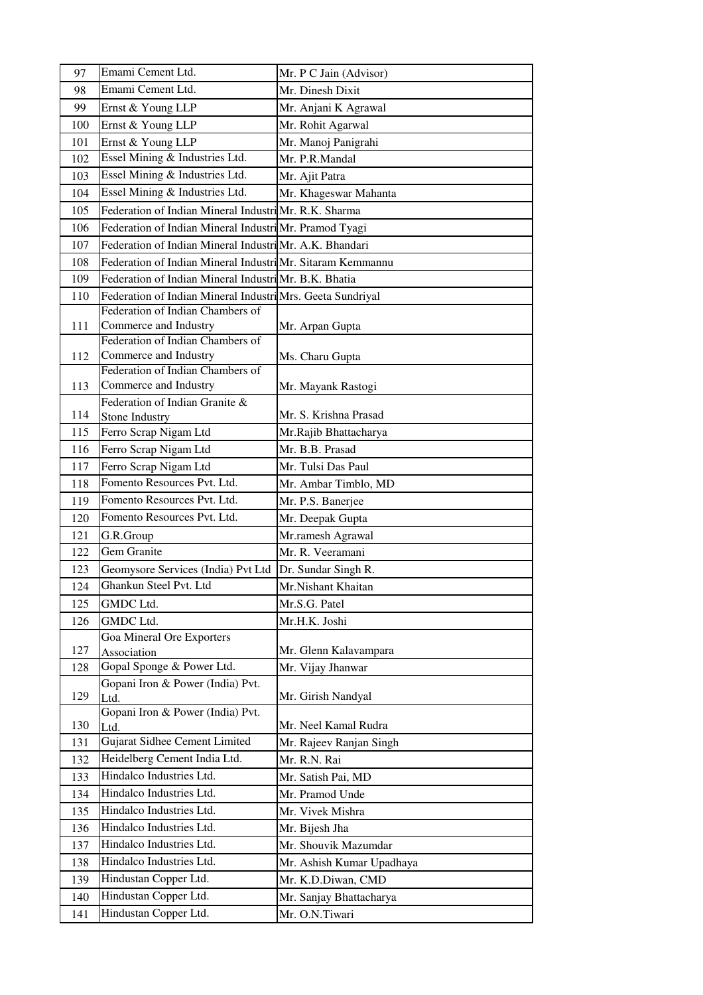| 97  | Emami Cement Ltd.                                          | Mr. P C Jain (Advisor)                          |  |  |
|-----|------------------------------------------------------------|-------------------------------------------------|--|--|
| 98  | Emami Cement Ltd.                                          | Mr. Dinesh Dixit                                |  |  |
| 99  | Ernst & Young LLP                                          | Mr. Anjani K Agrawal                            |  |  |
| 100 | Ernst & Young LLP                                          | Mr. Rohit Agarwal                               |  |  |
| 101 | Ernst & Young LLP                                          | Mr. Manoj Panigrahi                             |  |  |
| 102 | Essel Mining & Industries Ltd.                             | Mr. P.R.Mandal                                  |  |  |
| 103 | Essel Mining & Industries Ltd.                             | Mr. Ajit Patra                                  |  |  |
| 104 | Essel Mining & Industries Ltd.                             | Mr. Khageswar Mahanta                           |  |  |
| 105 | Federation of Indian Mineral Industri Mr. R.K. Sharma      |                                                 |  |  |
| 106 | Federation of Indian Mineral Industri Mr. Pramod Tyagi     |                                                 |  |  |
| 107 | Federation of Indian Mineral Industri Mr. A.K. Bhandari    |                                                 |  |  |
| 108 | Federation of Indian Mineral Industri Mr. Sitaram Kemmannu |                                                 |  |  |
| 109 | Federation of Indian Mineral Industri Mr. B.K. Bhatia      |                                                 |  |  |
| 110 | Federation of Indian Mineral Industri Mrs. Geeta Sundriyal |                                                 |  |  |
|     | Federation of Indian Chambers of                           |                                                 |  |  |
| 111 | Commerce and Industry                                      | Mr. Arpan Gupta                                 |  |  |
|     | Federation of Indian Chambers of                           |                                                 |  |  |
| 112 | Commerce and Industry                                      | Ms. Charu Gupta                                 |  |  |
|     | Federation of Indian Chambers of                           |                                                 |  |  |
| 113 | Commerce and Industry                                      | Mr. Mayank Rastogi                              |  |  |
| 114 | Federation of Indian Granite &<br>Stone Industry           | Mr. S. Krishna Prasad                           |  |  |
| 115 | Ferro Scrap Nigam Ltd                                      | Mr.Rajib Bhattacharya                           |  |  |
| 116 | Ferro Scrap Nigam Ltd                                      | Mr. B.B. Prasad                                 |  |  |
| 117 | Ferro Scrap Nigam Ltd                                      | Mr. Tulsi Das Paul                              |  |  |
| 118 | Fomento Resources Pvt. Ltd.                                | Mr. Ambar Timblo, MD                            |  |  |
| 119 | Fomento Resources Pvt. Ltd.                                | Mr. P.S. Banerjee                               |  |  |
| 120 | Fomento Resources Pvt. Ltd.                                | Mr. Deepak Gupta                                |  |  |
| 121 | G.R.Group                                                  | Mr.ramesh Agrawal                               |  |  |
| 122 | Gem Granite                                                | Mr. R. Veeramani                                |  |  |
| 123 | Geomysore Services (India) Pvt Ltd                         | Dr. Sundar Singh R.                             |  |  |
| 124 | Ghankun Steel Pvt. Ltd                                     | Mr.Nishant Khaitan                              |  |  |
| 125 | GMDC Ltd.                                                  | Mr.S.G. Patel                                   |  |  |
| 126 | <b>GMDC</b> Ltd.                                           | Mr.H.K. Joshi                                   |  |  |
|     | Goa Mineral Ore Exporters                                  |                                                 |  |  |
| 127 | Association                                                | Mr. Glenn Kalavampara                           |  |  |
| 128 | Gopal Sponge & Power Ltd.                                  | Mr. Vijay Jhanwar                               |  |  |
|     | Gopani Iron & Power (India) Pvt.                           |                                                 |  |  |
| 129 | Ltd.                                                       | Mr. Girish Nandyal                              |  |  |
| 130 | Gopani Iron & Power (India) Pvt.                           | Mr. Neel Kamal Rudra                            |  |  |
| 131 | Ltd.<br>Gujarat Sidhee Cement Limited                      | Mr. Rajeev Ranjan Singh                         |  |  |
| 132 | Heidelberg Cement India Ltd.                               | Mr. R.N. Rai                                    |  |  |
| 133 | Hindalco Industries Ltd.                                   | Mr. Satish Pai, MD                              |  |  |
| 134 | Hindalco Industries Ltd.                                   | Mr. Pramod Unde                                 |  |  |
| 135 | Hindalco Industries Ltd.                                   | Mr. Vivek Mishra                                |  |  |
| 136 | Hindalco Industries Ltd.                                   |                                                 |  |  |
| 137 | Hindalco Industries Ltd.                                   | Mr. Bijesh Jha<br>Mr. Shouvik Mazumdar          |  |  |
| 138 | Hindalco Industries Ltd.                                   |                                                 |  |  |
| 139 | Hindustan Copper Ltd.                                      | Mr. Ashish Kumar Upadhaya<br>Mr. K.D.Diwan, CMD |  |  |
| 140 | Hindustan Copper Ltd.                                      | Mr. Sanjay Bhattacharya                         |  |  |
|     | Hindustan Copper Ltd.                                      | Mr. O.N.Tiwari                                  |  |  |
| 141 |                                                            |                                                 |  |  |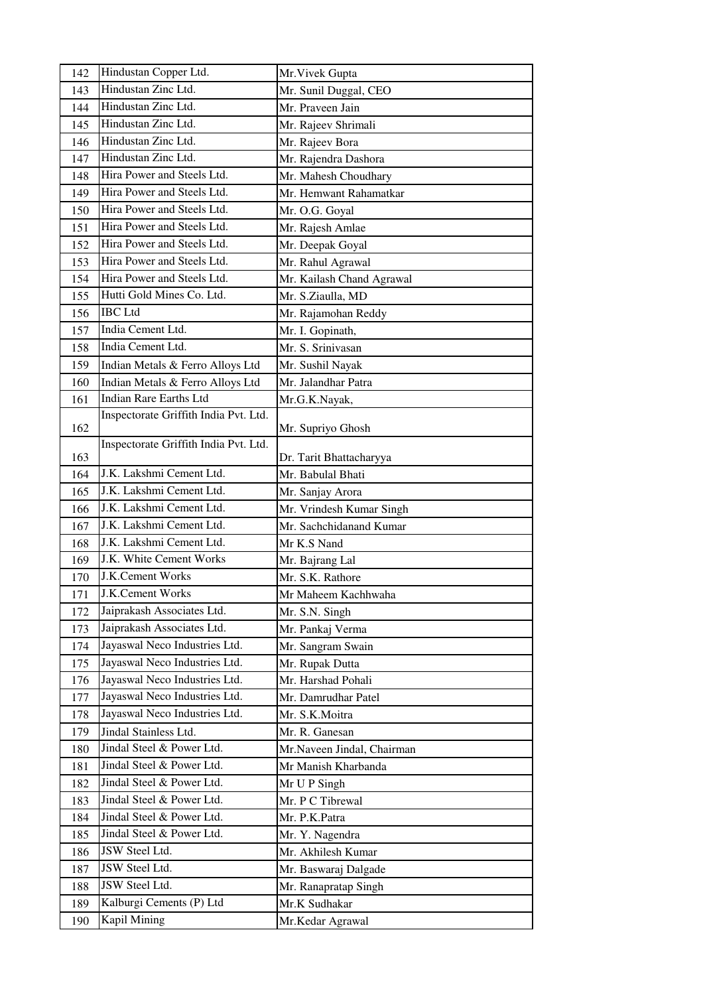| 142 | Hindustan Copper Ltd.                 | Mr. Vivek Gupta            |  |  |
|-----|---------------------------------------|----------------------------|--|--|
| 143 | Hindustan Zinc Ltd.                   | Mr. Sunil Duggal, CEO      |  |  |
| 144 | Hindustan Zinc Ltd.                   | Mr. Praveen Jain           |  |  |
| 145 | Hindustan Zinc Ltd.                   | Mr. Rajeev Shrimali        |  |  |
| 146 | Hindustan Zinc Ltd.                   | Mr. Rajeev Bora            |  |  |
| 147 | Hindustan Zinc Ltd.                   | Mr. Rajendra Dashora       |  |  |
| 148 | Hira Power and Steels Ltd.            | Mr. Mahesh Choudhary       |  |  |
| 149 | Hira Power and Steels Ltd.            | Mr. Hemwant Rahamatkar     |  |  |
| 150 | Hira Power and Steels Ltd.            | Mr. O.G. Goyal             |  |  |
| 151 | Hira Power and Steels Ltd.            | Mr. Rajesh Amlae           |  |  |
| 152 | Hira Power and Steels Ltd.            | Mr. Deepak Goyal           |  |  |
| 153 | Hira Power and Steels Ltd.            | Mr. Rahul Agrawal          |  |  |
| 154 | Hira Power and Steels Ltd.            | Mr. Kailash Chand Agrawal  |  |  |
| 155 | Hutti Gold Mines Co. Ltd.             | Mr. S.Ziaulla, MD          |  |  |
| 156 | <b>IBC</b> Ltd                        | Mr. Rajamohan Reddy        |  |  |
| 157 | India Cement Ltd.                     | Mr. I. Gopinath,           |  |  |
| 158 | India Cement Ltd.                     | Mr. S. Srinivasan          |  |  |
| 159 | Indian Metals & Ferro Alloys Ltd      | Mr. Sushil Nayak           |  |  |
| 160 | Indian Metals & Ferro Alloys Ltd      | Mr. Jalandhar Patra        |  |  |
| 161 | <b>Indian Rare Earths Ltd</b>         | Mr.G.K.Nayak,              |  |  |
|     | Inspectorate Griffith India Pvt. Ltd. |                            |  |  |
| 162 |                                       | Mr. Supriyo Ghosh          |  |  |
| 163 | Inspectorate Griffith India Pvt. Ltd. | Dr. Tarit Bhattacharyya    |  |  |
| 164 | J.K. Lakshmi Cement Ltd.              | Mr. Babulal Bhati          |  |  |
| 165 | J.K. Lakshmi Cement Ltd.              | Mr. Sanjay Arora           |  |  |
| 166 | J.K. Lakshmi Cement Ltd.              | Mr. Vrindesh Kumar Singh   |  |  |
| 167 | J.K. Lakshmi Cement Ltd.              | Mr. Sachchidanand Kumar    |  |  |
| 168 | J.K. Lakshmi Cement Ltd.              | Mr K.S Nand                |  |  |
| 169 | J.K. White Cement Works               | Mr. Bajrang Lal            |  |  |
| 170 | J.K.Cement Works                      | Mr. S.K. Rathore           |  |  |
| 171 | J.K.Cement Works                      | Mr Maheem Kachhwaha        |  |  |
| 172 | Jaiprakash Associates Ltd.            | Mr. S.N. Singh             |  |  |
| 173 | Jaiprakash Associates Ltd.            | Mr. Pankaj Verma           |  |  |
| 174 | Jayaswal Neco Industries Ltd.         | Mr. Sangram Swain          |  |  |
| 175 | Jayaswal Neco Industries Ltd.         | Mr. Rupak Dutta            |  |  |
| 176 | Jayaswal Neco Industries Ltd.         | Mr. Harshad Pohali         |  |  |
| 177 | Jayaswal Neco Industries Ltd.         | Mr. Damrudhar Patel        |  |  |
| 178 | Jayaswal Neco Industries Ltd.         | Mr. S.K.Moitra             |  |  |
| 179 | Jindal Stainless Ltd.                 | Mr. R. Ganesan             |  |  |
| 180 | Jindal Steel & Power Ltd.             | Mr.Naveen Jindal, Chairman |  |  |
| 181 | Jindal Steel & Power Ltd.             | Mr Manish Kharbanda        |  |  |
| 182 | Jindal Steel & Power Ltd.             | Mr U P Singh               |  |  |
| 183 | Jindal Steel & Power Ltd.             | Mr. P C Tibrewal           |  |  |
| 184 | Jindal Steel & Power Ltd.             | Mr. P.K.Patra              |  |  |
| 185 | Jindal Steel & Power Ltd.             | Mr. Y. Nagendra            |  |  |
| 186 | JSW Steel Ltd.                        | Mr. Akhilesh Kumar         |  |  |
| 187 | JSW Steel Ltd.                        | Mr. Baswaraj Dalgade       |  |  |
| 188 | JSW Steel Ltd.                        | Mr. Ranapratap Singh       |  |  |
| 189 | Kalburgi Cements (P) Ltd              | Mr.K Sudhakar              |  |  |
| 190 | Kapil Mining                          | Mr.Kedar Agrawal           |  |  |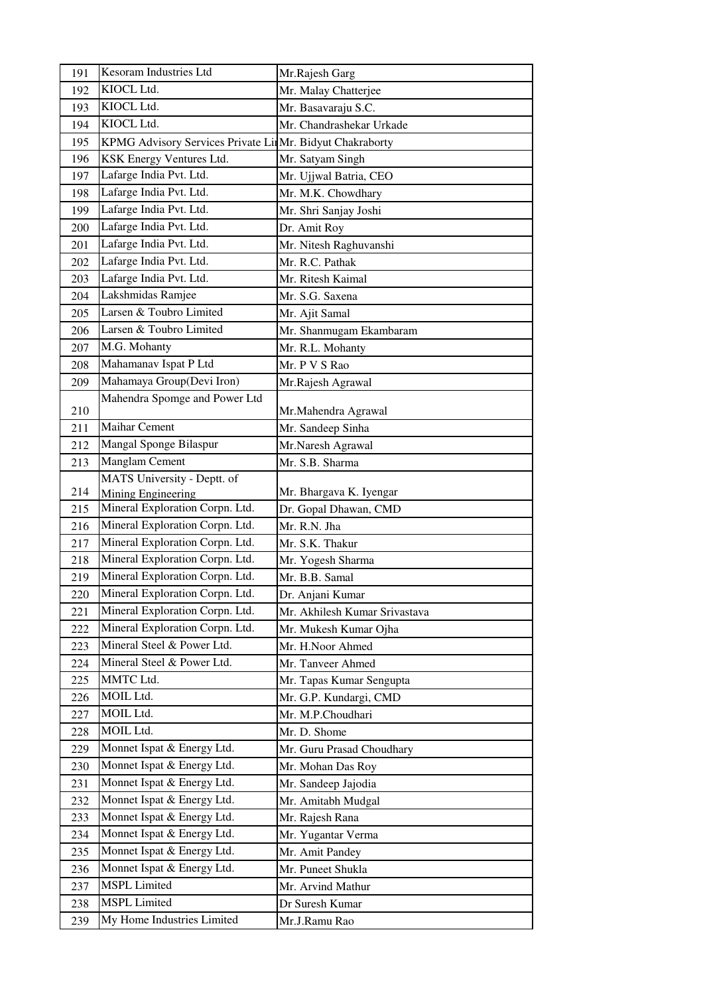| 191 | Kesoram Industries Ltd                                   | Mr.Rajesh Garg                |  |
|-----|----------------------------------------------------------|-------------------------------|--|
| 192 | KIOCL Ltd.                                               | Mr. Malay Chatterjee          |  |
| 193 | KIOCL Ltd.                                               | Mr. Basavaraju S.C.           |  |
| 194 | KIOCL Ltd.                                               | Mr. Chandrashekar Urkade      |  |
| 195 | KPMG Advisory Services Private LimMr. Bidyut Chakraborty |                               |  |
| 196 | KSK Energy Ventures Ltd.                                 | Mr. Satyam Singh              |  |
| 197 | Lafarge India Pvt. Ltd.                                  | Mr. Ujjwal Batria, CEO        |  |
| 198 | Lafarge India Pvt. Ltd.                                  | Mr. M.K. Chowdhary            |  |
| 199 | Lafarge India Pvt. Ltd.                                  | Mr. Shri Sanjay Joshi         |  |
| 200 | Lafarge India Pvt. Ltd.                                  | Dr. Amit Roy                  |  |
| 201 | Lafarge India Pvt. Ltd.                                  | Mr. Nitesh Raghuvanshi        |  |
| 202 | Lafarge India Pvt. Ltd.                                  | Mr. R.C. Pathak               |  |
| 203 | Lafarge India Pvt. Ltd.                                  | Mr. Ritesh Kaimal             |  |
| 204 | Lakshmidas Ramjee                                        | Mr. S.G. Saxena               |  |
| 205 | Larsen & Toubro Limited                                  | Mr. Ajit Samal                |  |
| 206 | Larsen & Toubro Limited                                  | Mr. Shanmugam Ekambaram       |  |
| 207 | M.G. Mohanty                                             | Mr. R.L. Mohanty              |  |
| 208 | Mahamanav Ispat P Ltd                                    | Mr. P V S Rao                 |  |
| 209 | Mahamaya Group(Devi Iron)                                | Mr.Rajesh Agrawal             |  |
|     | Mahendra Spomge and Power Ltd                            |                               |  |
| 210 |                                                          | Mr.Mahendra Agrawal           |  |
| 211 | <b>Maihar Cement</b>                                     | Mr. Sandeep Sinha             |  |
| 212 | Mangal Sponge Bilaspur                                   | Mr.Naresh Agrawal             |  |
| 213 | Manglam Cement                                           | Mr. S.B. Sharma               |  |
|     | MATS University - Deptt. of                              |                               |  |
| 214 | Mining Engineering                                       | Mr. Bhargava K. Iyengar       |  |
| 215 | Mineral Exploration Corpn. Ltd.                          | Dr. Gopal Dhawan, CMD         |  |
| 216 | Mineral Exploration Corpn. Ltd.                          | Mr. R.N. Jha                  |  |
| 217 | Mineral Exploration Corpn. Ltd.                          | Mr. S.K. Thakur               |  |
| 218 | Mineral Exploration Corpn. Ltd.                          | Mr. Yogesh Sharma             |  |
| 219 | Mineral Exploration Corpn. Ltd.                          | Mr. B.B. Samal                |  |
| 220 | Mineral Exploration Corpn. Ltd.                          | Dr. Anjani Kumar              |  |
| 221 | Mineral Exploration Corpn. Ltd.                          | Mr. Akhilesh Kumar Srivastava |  |
| 222 | Mineral Exploration Corpn. Ltd.                          | Mr. Mukesh Kumar Ojha         |  |
| 223 | Mineral Steel & Power Ltd.                               | Mr. H.Noor Ahmed              |  |
| 224 | Mineral Steel & Power Ltd.                               | Mr. Tanveer Ahmed             |  |
| 225 | MMTC Ltd.                                                | Mr. Tapas Kumar Sengupta      |  |
| 226 | MOIL Ltd.                                                | Mr. G.P. Kundargi, CMD        |  |
| 227 | MOIL Ltd.                                                | Mr. M.P.Choudhari             |  |
| 228 | MOIL Ltd.                                                | Mr. D. Shome                  |  |
| 229 | Monnet Ispat & Energy Ltd.                               | Mr. Guru Prasad Choudhary     |  |
| 230 | Monnet Ispat & Energy Ltd.                               | Mr. Mohan Das Roy             |  |
| 231 | Monnet Ispat & Energy Ltd.                               | Mr. Sandeep Jajodia           |  |
| 232 | Monnet Ispat & Energy Ltd.                               | Mr. Amitabh Mudgal            |  |
| 233 | Monnet Ispat & Energy Ltd.                               | Mr. Rajesh Rana               |  |
| 234 | Monnet Ispat & Energy Ltd.                               | Mr. Yugantar Verma            |  |
| 235 | Monnet Ispat & Energy Ltd.                               | Mr. Amit Pandey               |  |
| 236 | Monnet Ispat & Energy Ltd.                               | Mr. Puneet Shukla             |  |
| 237 | <b>MSPL</b> Limited                                      | Mr. Arvind Mathur             |  |
| 238 | <b>MSPL</b> Limited                                      | Dr Suresh Kumar               |  |
| 239 | My Home Industries Limited                               | Mr.J.Ramu Rao                 |  |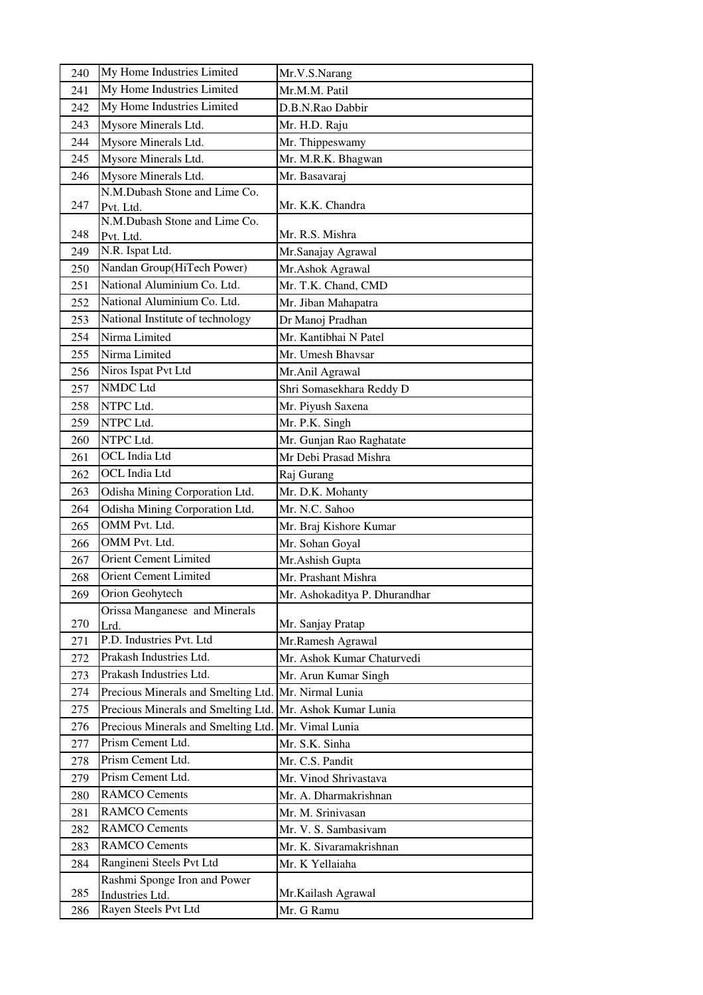| 240 | My Home Industries Limited                           | Mr.V.S.Narang                 |  |  |
|-----|------------------------------------------------------|-------------------------------|--|--|
| 241 | My Home Industries Limited                           | Mr.M.M. Patil                 |  |  |
| 242 | My Home Industries Limited                           | D.B.N.Rao Dabbir              |  |  |
| 243 | Mysore Minerals Ltd.                                 | Mr. H.D. Raju                 |  |  |
| 244 | Mysore Minerals Ltd.                                 | Mr. Thippeswamy               |  |  |
| 245 | Mysore Minerals Ltd.                                 | Mr. M.R.K. Bhagwan            |  |  |
| 246 | Mysore Minerals Ltd.                                 | Mr. Basavaraj                 |  |  |
|     | N.M.Dubash Stone and Lime Co.                        |                               |  |  |
| 247 | Pvt. Ltd.                                            | Mr. K.K. Chandra              |  |  |
| 248 | N.M.Dubash Stone and Lime Co.                        | Mr. R.S. Mishra               |  |  |
| 249 | Pvt. Ltd.<br>N.R. Ispat Ltd.                         | Mr.Sanajay Agrawal            |  |  |
| 250 | Nandan Group(HiTech Power)                           | Mr.Ashok Agrawal              |  |  |
| 251 | National Aluminium Co. Ltd.                          | Mr. T.K. Chand, CMD           |  |  |
| 252 | National Aluminium Co. Ltd.                          |                               |  |  |
|     | National Institute of technology                     | Mr. Jiban Mahapatra           |  |  |
| 253 |                                                      | Dr Manoj Pradhan              |  |  |
| 254 | Nirma Limited                                        | Mr. Kantibhai N Patel         |  |  |
| 255 | Nirma Limited                                        | Mr. Umesh Bhavsar             |  |  |
| 256 | Niros Ispat Pvt Ltd                                  | Mr.Anil Agrawal               |  |  |
| 257 | NMDC Ltd                                             | Shri Somasekhara Reddy D      |  |  |
| 258 | NTPC Ltd.                                            | Mr. Piyush Saxena             |  |  |
| 259 | NTPC Ltd.                                            | Mr. P.K. Singh                |  |  |
| 260 | NTPC Ltd.                                            | Mr. Gunjan Rao Raghatate      |  |  |
| 261 | OCL India Ltd                                        | Mr Debi Prasad Mishra         |  |  |
| 262 | OCL India Ltd                                        | Raj Gurang                    |  |  |
| 263 | Odisha Mining Corporation Ltd.                       | Mr. D.K. Mohanty              |  |  |
| 264 | Odisha Mining Corporation Ltd.                       | Mr. N.C. Sahoo                |  |  |
| 265 | OMM Pvt. Ltd.                                        | Mr. Braj Kishore Kumar        |  |  |
| 266 | OMM Pvt. Ltd.                                        | Mr. Sohan Goyal               |  |  |
| 267 | <b>Orient Cement Limited</b>                         | Mr.Ashish Gupta               |  |  |
| 268 | Orient Cement Limited                                | Mr. Prashant Mishra           |  |  |
| 269 | Orion Geohytech                                      | Mr. Ashokaditya P. Dhurandhar |  |  |
|     | Orissa Manganese and Minerals                        |                               |  |  |
| 270 | Lrd.<br>P.D. Industries Pvt. Ltd                     | Mr. Sanjay Pratap             |  |  |
| 271 |                                                      | Mr.Ramesh Agrawal             |  |  |
| 272 | Prakash Industries Ltd.<br>Prakash Industries Ltd.   | Mr. Ashok Kumar Chaturvedi    |  |  |
| 273 |                                                      | Mr. Arun Kumar Singh          |  |  |
| 274 | Precious Minerals and Smelting Ltd. Mr. Nirmal Lunia |                               |  |  |
| 275 | Precious Minerals and Smelting Ltd.                  | Mr. Ashok Kumar Lunia         |  |  |
| 276 | Precious Minerals and Smelting Ltd.                  | Mr. Vimal Lunia               |  |  |
| 277 | Prism Cement Ltd.                                    | Mr. S.K. Sinha                |  |  |
| 278 | Prism Cement Ltd.                                    | Mr. C.S. Pandit               |  |  |
| 279 | Prism Cement Ltd.                                    | Mr. Vinod Shrivastava         |  |  |
| 280 | <b>RAMCO Cements</b>                                 | Mr. A. Dharmakrishnan         |  |  |
| 281 | <b>RAMCO Cements</b>                                 | Mr. M. Srinivasan             |  |  |
| 282 | <b>RAMCO Cements</b>                                 | Mr. V. S. Sambasivam          |  |  |
| 283 | <b>RAMCO Cements</b>                                 | Mr. K. Sivaramakrishnan       |  |  |
| 284 | Rangineni Steels Pvt Ltd                             | Mr. K Yellaiaha               |  |  |
|     | Rashmi Sponge Iron and Power                         |                               |  |  |
| 285 | Industries Ltd.                                      | Mr. Kailash Agrawal           |  |  |
| 286 | Rayen Steels Pvt Ltd                                 | Mr. G Ramu                    |  |  |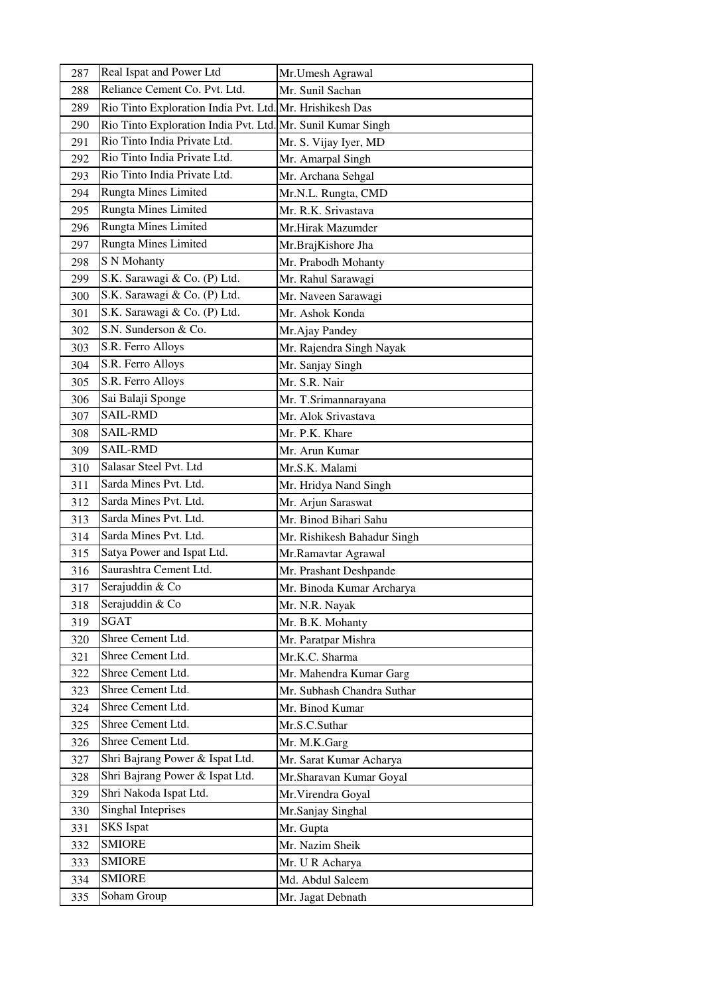| 287        | Real Ispat and Power Ltd                                    | Mr.Umesh Agrawal                   |  |
|------------|-------------------------------------------------------------|------------------------------------|--|
| 288        | Reliance Cement Co. Pvt. Ltd.                               | Mr. Sunil Sachan                   |  |
| 289        | Rio Tinto Exploration India Pvt. Ltd. Mr. Hrishikesh Das    |                                    |  |
| 290        | Rio Tinto Exploration India Pvt. Ltd. Mr. Sunil Kumar Singh |                                    |  |
| 291        | Rio Tinto India Private Ltd.                                | Mr. S. Vijay Iyer, MD              |  |
| 292        | Rio Tinto India Private Ltd.                                | Mr. Amarpal Singh                  |  |
| 293        | Rio Tinto India Private Ltd.                                | Mr. Archana Sehgal                 |  |
| 294        | <b>Rungta Mines Limited</b>                                 | Mr.N.L. Rungta, CMD                |  |
| 295        | <b>Rungta Mines Limited</b>                                 | Mr. R.K. Srivastava                |  |
| 296        | Rungta Mines Limited                                        | Mr.Hirak Mazumder                  |  |
| 297        | <b>Rungta Mines Limited</b>                                 | Mr.BrajKishore Jha                 |  |
| 298        | S N Mohanty                                                 | Mr. Prabodh Mohanty                |  |
| 299        | S.K. Sarawagi & Co. (P) Ltd.                                | Mr. Rahul Sarawagi                 |  |
| 300        | S.K. Sarawagi & Co. (P) Ltd.                                | Mr. Naveen Sarawagi                |  |
| 301        | S.K. Sarawagi & Co. (P) Ltd.                                | Mr. Ashok Konda                    |  |
| 302        | S.N. Sunderson & Co.                                        | Mr.Ajay Pandey                     |  |
| 303        | S.R. Ferro Alloys                                           | Mr. Rajendra Singh Nayak           |  |
| 304        | S.R. Ferro Alloys                                           | Mr. Sanjay Singh                   |  |
| 305        | S.R. Ferro Alloys                                           | Mr. S.R. Nair                      |  |
| 306        | Sai Balaji Sponge                                           | Mr. T.Srimannarayana               |  |
| 307        | <b>SAIL-RMD</b>                                             | Mr. Alok Srivastava                |  |
| 308        | <b>SAIL-RMD</b>                                             | Mr. P.K. Khare                     |  |
| 309        | <b>SAIL-RMD</b>                                             | Mr. Arun Kumar                     |  |
| 310        | Salasar Steel Pvt. Ltd                                      | Mr.S.K. Malami                     |  |
| 311        | Sarda Mines Pvt. Ltd.                                       | Mr. Hridya Nand Singh              |  |
| 312        | Sarda Mines Pvt. Ltd.                                       | Mr. Arjun Saraswat                 |  |
| 313        | Sarda Mines Pvt. Ltd.                                       | Mr. Binod Bihari Sahu              |  |
| 314        | Sarda Mines Pvt. Ltd.                                       | Mr. Rishikesh Bahadur Singh        |  |
| 315        | Satya Power and Ispat Ltd.                                  | Mr.Ramavtar Agrawal                |  |
| 316        | Saurashtra Cement Ltd.                                      | Mr. Prashant Deshpande             |  |
| 317        | Serajuddin & Co                                             | Mr. Binoda Kumar Archarya          |  |
| 318        | Serajuddin & Co                                             | Mr. N.R. Nayak                     |  |
| 319        | <b>SGAT</b>                                                 | Mr. B.K. Mohanty                   |  |
| 320        | Shree Cement Ltd.                                           | Mr. Paratpar Mishra                |  |
| 321        | Shree Cement Ltd.<br>Shree Cement Ltd.                      | Mr.K.C. Sharma                     |  |
| 322        |                                                             | Mr. Mahendra Kumar Garg            |  |
| 323        | Shree Cement Ltd.                                           | Mr. Subhash Chandra Suthar         |  |
| 324        | Shree Cement Ltd.                                           | Mr. Binod Kumar                    |  |
| 325        | Shree Cement Ltd.<br>Shree Cement Ltd.                      | Mr.S.C.Suthar                      |  |
| 326        | Shri Bajrang Power & Ispat Ltd.                             | Mr. M.K.Garg                       |  |
| 327        | Shri Bajrang Power & Ispat Ltd.                             | Mr. Sarat Kumar Acharya            |  |
| 328<br>329 | Shri Nakoda Ispat Ltd.                                      | Mr.Sharavan Kumar Goyal            |  |
| 330        | Singhal Inteprises                                          | Mr. Virendra Goyal                 |  |
| 331        | <b>SKS</b> Ispat                                            | Mr.Sanjay Singhal                  |  |
| 332        | <b>SMIORE</b>                                               | Mr. Gupta                          |  |
| 333        | <b>SMIORE</b>                                               | Mr. Nazim Sheik<br>Mr. U R Acharya |  |
| 334        | <b>SMIORE</b>                                               | Md. Abdul Saleem                   |  |
| 335        | Soham Group                                                 | Mr. Jagat Debnath                  |  |
|            |                                                             |                                    |  |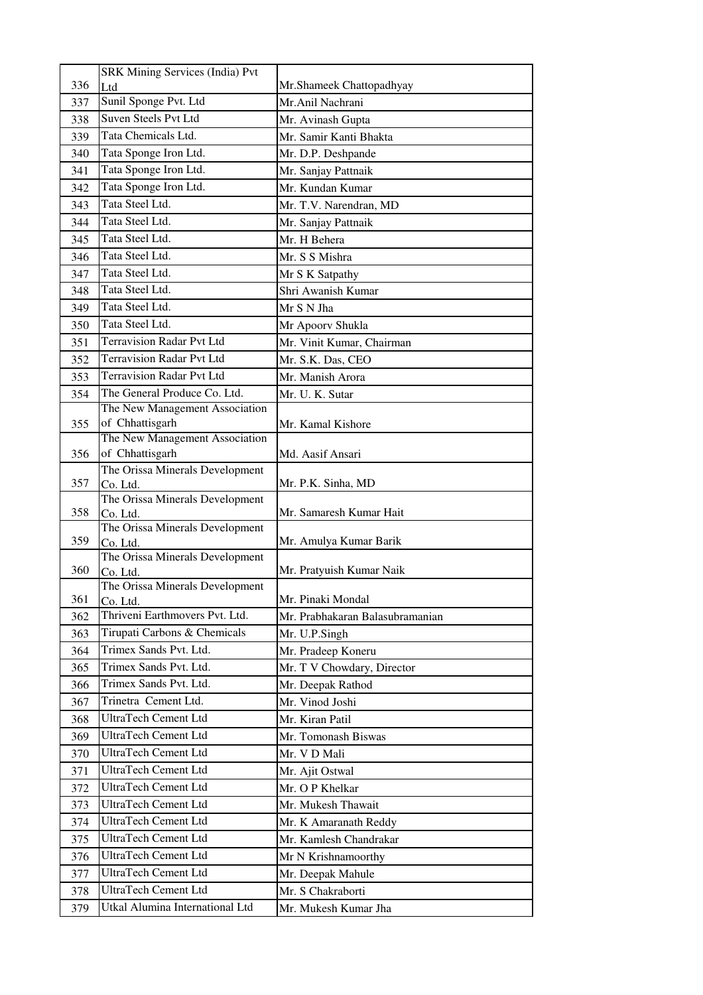|     | <b>SRK Mining Services (India) Pvt</b>      |                                 |  |  |
|-----|---------------------------------------------|---------------------------------|--|--|
| 336 | Ltd                                         | Mr.Shameek Chattopadhyay        |  |  |
| 337 | Sunil Sponge Pvt. Ltd                       | Mr.Anil Nachrani                |  |  |
| 338 | <b>Suven Steels Pvt Ltd</b>                 | Mr. Avinash Gupta               |  |  |
| 339 | Tata Chemicals Ltd.                         | Mr. Samir Kanti Bhakta          |  |  |
| 340 | Tata Sponge Iron Ltd.                       | Mr. D.P. Deshpande              |  |  |
| 341 | Tata Sponge Iron Ltd.                       | Mr. Sanjay Pattnaik             |  |  |
| 342 | Tata Sponge Iron Ltd.                       | Mr. Kundan Kumar                |  |  |
| 343 | Tata Steel Ltd.                             | Mr. T.V. Narendran, MD          |  |  |
| 344 | Tata Steel Ltd.                             | Mr. Sanjay Pattnaik             |  |  |
| 345 | Tata Steel Ltd.                             | Mr. H Behera                    |  |  |
| 346 | Tata Steel Ltd.                             | Mr. S S Mishra                  |  |  |
| 347 | Tata Steel Ltd.                             | Mr S K Satpathy                 |  |  |
| 348 | Tata Steel Ltd.                             | Shri Awanish Kumar              |  |  |
| 349 | Tata Steel Ltd.                             | Mr S N Jha                      |  |  |
| 350 | Tata Steel Ltd.                             | Mr Apoorv Shukla                |  |  |
| 351 | <b>Terravision Radar Pvt Ltd</b>            | Mr. Vinit Kumar, Chairman       |  |  |
| 352 | <b>Terravision Radar Pvt Ltd</b>            | Mr. S.K. Das, CEO               |  |  |
| 353 | <b>Terravision Radar Pvt Ltd</b>            | Mr. Manish Arora                |  |  |
| 354 | The General Produce Co. Ltd.                | Mr. U. K. Sutar                 |  |  |
|     | The New Management Association              |                                 |  |  |
| 355 | of Chhattisgarh                             | Mr. Kamal Kishore               |  |  |
|     | The New Management Association              |                                 |  |  |
| 356 | of Chhattisgarh                             | Md. Aasif Ansari                |  |  |
| 357 | The Orissa Minerals Development<br>Co. Ltd. | Mr. P.K. Sinha, MD              |  |  |
|     | The Orissa Minerals Development             |                                 |  |  |
| 358 | Co. Ltd.                                    | Mr. Samaresh Kumar Hait         |  |  |
|     | The Orissa Minerals Development             |                                 |  |  |
| 359 | Co. Ltd.<br>The Orissa Minerals Development | Mr. Amulya Kumar Barik          |  |  |
| 360 | Co. Ltd.                                    | Mr. Pratyuish Kumar Naik        |  |  |
|     | The Orissa Minerals Development             |                                 |  |  |
| 361 | Co. Ltd.                                    | Mr. Pinaki Mondal               |  |  |
| 362 | Thriveni Earthmovers Pvt. Ltd.              | Mr. Prabhakaran Balasubramanian |  |  |
| 363 | Tirupati Carbons & Chemicals                | Mr. U.P.Singh                   |  |  |
| 364 | Trimex Sands Pvt. Ltd.                      | Mr. Pradeep Koneru              |  |  |
| 365 | Trimex Sands Pvt. Ltd.                      | Mr. T V Chowdary, Director      |  |  |
| 366 | Trimex Sands Pvt. Ltd.                      | Mr. Deepak Rathod               |  |  |
| 367 | Trinetra Cement Ltd.                        | Mr. Vinod Joshi                 |  |  |
| 368 | <b>UltraTech Cement Ltd</b>                 | Mr. Kiran Patil                 |  |  |
| 369 | <b>UltraTech Cement Ltd</b>                 | Mr. Tomonash Biswas             |  |  |
| 370 | <b>UltraTech Cement Ltd</b>                 | Mr. V D Mali                    |  |  |
| 371 | UltraTech Cement Ltd                        | Mr. Ajit Ostwal                 |  |  |
| 372 | UltraTech Cement Ltd                        | Mr. O P Khelkar                 |  |  |
| 373 | <b>UltraTech Cement Ltd</b>                 | Mr. Mukesh Thawait              |  |  |
| 374 | UltraTech Cement Ltd                        | Mr. K Amaranath Reddy           |  |  |
| 375 | UltraTech Cement Ltd                        | Mr. Kamlesh Chandrakar          |  |  |
| 376 | UltraTech Cement Ltd                        | Mr N Krishnamoorthy             |  |  |
| 377 | <b>UltraTech Cement Ltd</b>                 | Mr. Deepak Mahule               |  |  |
| 378 | <b>UltraTech Cement Ltd</b>                 | Mr. S Chakraborti               |  |  |
| 379 | Utkal Alumina International Ltd             | Mr. Mukesh Kumar Jha            |  |  |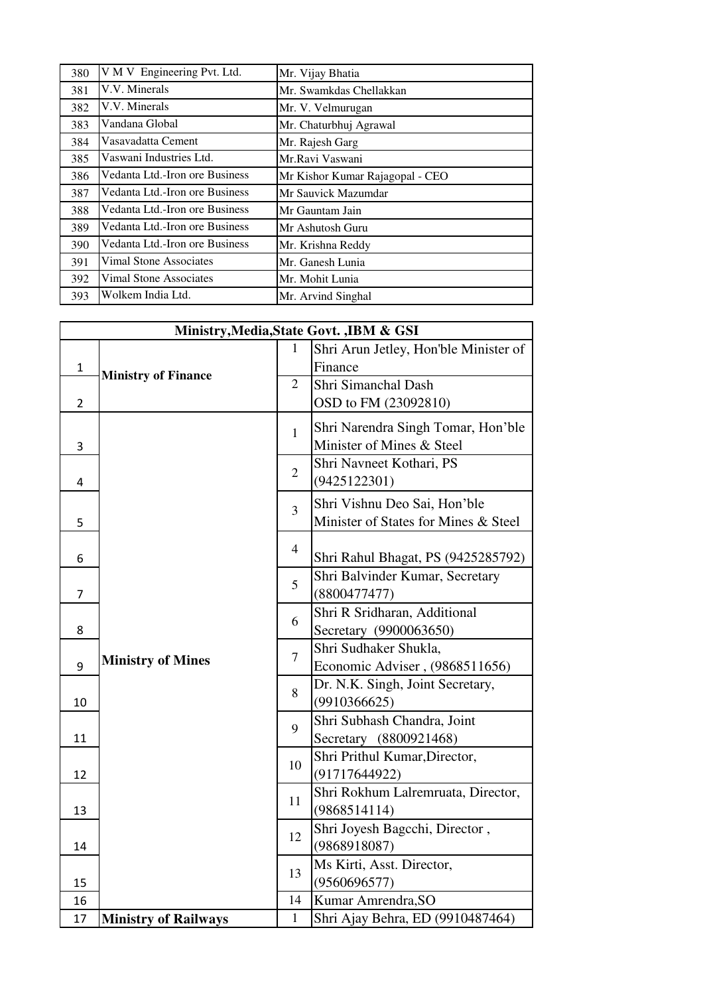| 380 | V M V Engineering Pvt. Ltd.    | Mr. Vijay Bhatia                |  |
|-----|--------------------------------|---------------------------------|--|
| 381 | V.V. Minerals                  | Mr. Swamkdas Chellakkan         |  |
| 382 | V.V. Minerals                  | Mr. V. Velmurugan               |  |
| 383 | Vandana Global                 | Mr. Chaturbhuj Agrawal          |  |
| 384 | Vasavadatta Cement             | Mr. Rajesh Garg                 |  |
| 385 | Vaswani Industries Ltd.        | Mr.Ravi Vaswani                 |  |
| 386 | Vedanta Ltd.-Iron ore Business | Mr Kishor Kumar Rajagopal - CEO |  |
| 387 | Vedanta Ltd.-Iron ore Business | Mr Sauvick Mazumdar             |  |
| 388 | Vedanta Ltd.-Iron ore Business | Mr Gauntam Jain                 |  |
| 389 | Vedanta Ltd.-Iron ore Business | Mr Ashutosh Guru                |  |
| 390 | Vedanta Ltd.-Iron ore Business | Mr. Krishna Reddy               |  |
| 391 | <b>Vimal Stone Associates</b>  | Mr. Ganesh Lunia                |  |
| 392 | <b>Vimal Stone Associates</b>  | Mr. Mohit Lunia                 |  |
| 393 | Wolkem India Ltd.              | Mr. Arvind Singhal              |  |

|                | Ministry, Media, State Govt., IBM & GSI |                |                                                     |  |
|----------------|-----------------------------------------|----------------|-----------------------------------------------------|--|
|                |                                         | 1              | Shri Arun Jetley, Hon'ble Minister of               |  |
| $\mathbf{1}$   | <b>Ministry of Finance</b>              |                | Finance                                             |  |
|                |                                         | $\overline{2}$ | Shri Simanchal Dash                                 |  |
| $\overline{2}$ |                                         |                | OSD to FM (23092810)                                |  |
|                |                                         | $\mathbf{1}$   | Shri Narendra Singh Tomar, Hon'ble                  |  |
| 3              |                                         |                | Minister of Mines & Steel                           |  |
|                |                                         |                | Shri Navneet Kothari, PS                            |  |
| 4              |                                         | $\overline{2}$ | (9425122301)                                        |  |
|                |                                         |                | Shri Vishnu Deo Sai, Hon'ble                        |  |
| 5              |                                         | $\overline{3}$ | Minister of States for Mines & Steel                |  |
|                |                                         |                |                                                     |  |
| 6              |                                         | 4              | Shri Rahul Bhagat, PS (9425285792)                  |  |
|                |                                         | 5              | Shri Balvinder Kumar, Secretary                     |  |
| 7              |                                         |                | (8800477477)                                        |  |
|                |                                         | 6              | Shri R Sridharan, Additional                        |  |
| 8              |                                         |                | Secretary (9900063650)                              |  |
|                | <b>Ministry of Mines</b>                | $\tau$         | Shri Sudhaker Shukla,                               |  |
| 9              |                                         |                | Economic Adviser, (9868511656)                      |  |
|                |                                         | 8              | Dr. N.K. Singh, Joint Secretary,                    |  |
| 10             |                                         | 9              | (9910366625)                                        |  |
|                |                                         |                | Shri Subhash Chandra, Joint                         |  |
| 11             |                                         |                | Secretary (8800921468)                              |  |
|                |                                         | 10             | Shri Prithul Kumar, Director,                       |  |
| 12             |                                         |                | (91717644922)<br>Shri Rokhum Lalremruata, Director, |  |
| 13             |                                         | 11             | (9868514114)                                        |  |
|                |                                         |                | Shri Joyesh Bagcchi, Director,                      |  |
| 14             |                                         | 12             | (9868918087)                                        |  |
|                |                                         |                | Ms Kirti, Asst. Director,                           |  |
| 15             |                                         | 13             | (9560696577)                                        |  |
| 16             |                                         | 14             | Kumar Amrendra, SO                                  |  |
| 17             | <b>Ministry of Railways</b>             | $\mathbf{1}$   | Shri Ajay Behra, ED (9910487464)                    |  |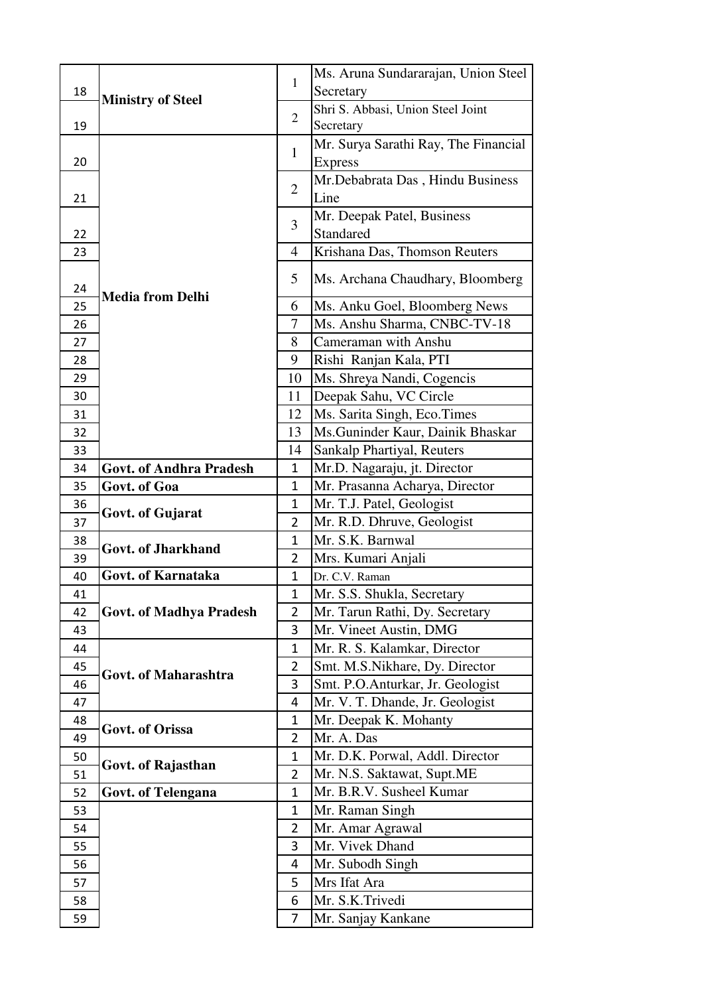| 18       | <b>Ministry of Steel</b>       | 1                             | Ms. Aruna Sundararajan, Union Steel<br>Secretary |
|----------|--------------------------------|-------------------------------|--------------------------------------------------|
|          |                                |                               | Shri S. Abbasi, Union Steel Joint                |
| 19       |                                | $\overline{2}$                | Secretary                                        |
|          |                                |                               | Mr. Surya Sarathi Ray, The Financial             |
| 20       |                                | 1                             | <b>Express</b>                                   |
|          |                                |                               | Mr.Debabrata Das, Hindu Business                 |
| 21       |                                | $\overline{2}$                | Line                                             |
|          |                                | 3                             | Mr. Deepak Patel, Business                       |
| 22       |                                |                               | Standared                                        |
| 23       |                                | $\overline{4}$                | Krishana Das, Thomson Reuters                    |
| 24       |                                | 5                             | Ms. Archana Chaudhary, Bloomberg                 |
| 25       | <b>Media from Delhi</b>        | 6                             | Ms. Anku Goel, Bloomberg News                    |
| 26       |                                | 7                             | Ms. Anshu Sharma, CNBC-TV-18                     |
| 27       |                                | 8                             | Cameraman with Anshu                             |
| 28       |                                | 9                             | Rishi Ranjan Kala, PTI                           |
| 29       |                                | 10                            | Ms. Shreya Nandi, Cogencis                       |
| 30       |                                | 11                            | Deepak Sahu, VC Circle                           |
| 31       |                                | 12                            | Ms. Sarita Singh, Eco.Times                      |
| 32       |                                | 13                            | Ms. Guninder Kaur, Dainik Bhaskar                |
| 33       |                                | 14                            | Sankalp Phartiyal, Reuters                       |
| 34       | <b>Govt. of Andhra Pradesh</b> | 1                             | Mr.D. Nagaraju, jt. Director                     |
| 35       | Govt. of Goa                   | $\mathbf{1}$                  | Mr. Prasanna Acharya, Director                   |
| 36       | Govt. of Gujarat               | $\mathbf 1$<br>$\overline{2}$ | Mr. T.J. Patel, Geologist                        |
| 37       |                                | 1                             | Mr. R.D. Dhruve, Geologist<br>Mr. S.K. Barnwal   |
| 38<br>39 | <b>Govt. of Jharkhand</b>      | $\overline{2}$                | Mrs. Kumari Anjali                               |
| 40       | Govt. of Karnataka             | 1                             | Dr. C.V. Raman                                   |
| 41       |                                | $\mathbf{1}$                  | Mr. S.S. Shukla, Secretary                       |
| 42       | <b>Govt. of Madhya Pradesh</b> | $\overline{2}$                | Mr. Tarun Rathi, Dy. Secretary                   |
| 43       |                                | 3                             | Mr. Vineet Austin, DMG                           |
| 44       |                                | 1                             | Mr. R. S. Kalamkar, Director                     |
| 45       |                                | $\overline{2}$                | Smt. M.S.Nikhare, Dy. Director                   |
| 46       | Govt. of Maharashtra           | 3                             | Smt. P.O.Anturkar, Jr. Geologist                 |
| 47       |                                | 4                             | Mr. V. T. Dhande, Jr. Geologist                  |
| 48       | <b>Govt. of Orissa</b>         | 1                             | Mr. Deepak K. Mohanty                            |
| 49       |                                | $\overline{2}$                | Mr. A. Das                                       |
| 50       | Govt. of Rajasthan             | $\mathbf{1}$                  | Mr. D.K. Porwal, Addl. Director                  |
| 51       |                                | $\overline{2}$                | Mr. N.S. Saktawat, Supt.ME                       |
| 52       | <b>Govt. of Telengana</b>      | $\mathbf{1}$                  | Mr. B.R.V. Susheel Kumar                         |
| 53       |                                | 1                             | Mr. Raman Singh                                  |
| 54       |                                | 2                             | Mr. Amar Agrawal                                 |
| 55       |                                | 3                             | Mr. Vivek Dhand                                  |
| 56       |                                | 4                             | Mr. Subodh Singh                                 |
| 57       |                                | 5                             | Mrs Ifat Ara                                     |
| 58       |                                | 6                             | Mr. S.K.Trivedi                                  |
| 59       |                                | 7                             | Mr. Sanjay Kankane                               |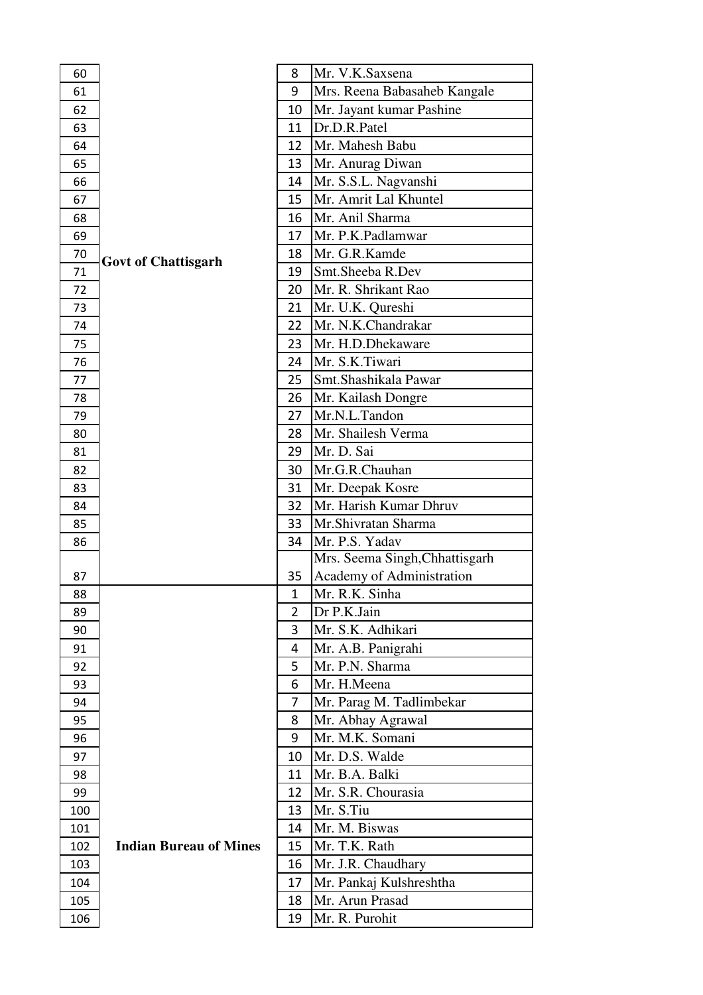| 60  |                               | 8            | Mr. V.K.Saxsena                |
|-----|-------------------------------|--------------|--------------------------------|
| 61  |                               | 9            | Mrs. Reena Babasaheb Kangale   |
| 62  |                               | 10           | Mr. Jayant kumar Pashine       |
| 63  |                               | 11           | Dr.D.R.Patel                   |
| 64  |                               | 12           | Mr. Mahesh Babu                |
| 65  |                               | 13           | Mr. Anurag Diwan               |
| 66  |                               | 14           | Mr. S.S.L. Nagvanshi           |
| 67  |                               | 15           | Mr. Amrit Lal Khuntel          |
| 68  |                               | 16           | Mr. Anil Sharma                |
| 69  |                               | 17           | Mr. P.K.Padlamwar              |
| 70  |                               | 18           | Mr. G.R.Kamde                  |
| 71  | <b>Govt of Chattisgarh</b>    | 19           | Smt.Sheeba R.Dev               |
| 72  |                               | 20           | Mr. R. Shrikant Rao            |
| 73  |                               | 21           | Mr. U.K. Qureshi               |
| 74  |                               | 22           | Mr. N.K.Chandrakar             |
| 75  |                               | 23           | Mr. H.D.Dhekaware              |
| 76  |                               | 24           | Mr. S.K.Tiwari                 |
| 77  |                               | 25           | Smt.Shashikala Pawar           |
| 78  |                               | 26           | Mr. Kailash Dongre             |
| 79  |                               | 27           | Mr.N.L.Tandon                  |
| 80  |                               | 28           | Mr. Shailesh Verma             |
| 81  |                               | 29           | Mr. D. Sai                     |
| 82  |                               | 30           | Mr.G.R.Chauhan                 |
| 83  |                               | 31           | Mr. Deepak Kosre               |
| 84  |                               | 32           | Mr. Harish Kumar Dhruv         |
| 85  |                               | 33           | Mr.Shivratan Sharma            |
| 86  |                               | 34           | Mr. P.S. Yadav                 |
|     |                               |              | Mrs. Seema Singh, Chhattisgarh |
| 87  |                               | 35           | Academy of Administration      |
| 88  |                               | $\mathbf{1}$ | Mr. R.K. Sinha                 |
| 89  |                               | 2            | Dr P.K.Jain                    |
| 90  |                               | 3            | Mr. S.K. Adhikari              |
| 91  |                               | 4            | Mr. A.B. Panigrahi             |
| 92  |                               | 5            | Mr. P.N. Sharma                |
| 93  |                               | 6            | Mr. H.Meena                    |
| 94  |                               | 7            | Mr. Parag M. Tadlimbekar       |
| 95  |                               | 8            | Mr. Abhay Agrawal              |
| 96  |                               | 9            | Mr. M.K. Somani                |
| 97  |                               | 10           | Mr. D.S. Walde                 |
| 98  |                               | 11           | Mr. B.A. Balki                 |
| 99  |                               | 12           | Mr. S.R. Chourasia             |
| 100 |                               | 13           | Mr. S.Tiu                      |
| 101 |                               | 14           | Mr. M. Biswas                  |
| 102 | <b>Indian Bureau of Mines</b> | 15           | Mr. T.K. Rath                  |
| 103 |                               | 16           | Mr. J.R. Chaudhary             |
| 104 |                               | 17           | Mr. Pankaj Kulshreshtha        |
| 105 |                               | 18           | Mr. Arun Prasad                |
| 106 |                               | 19           | Mr. R. Purohit                 |